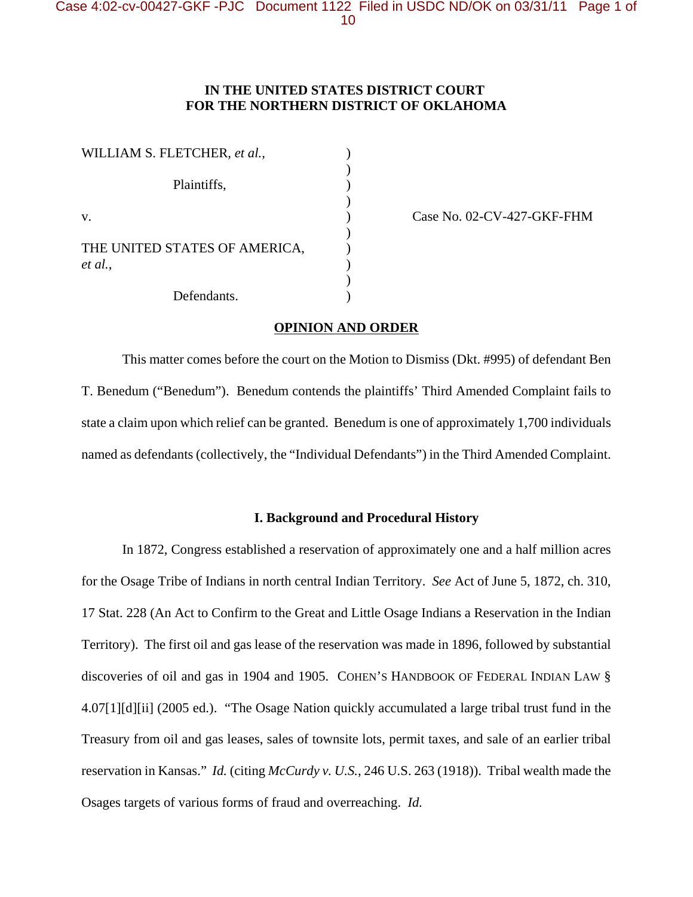# **IN THE UNITED STATES DISTRICT COURT FOR THE NORTHERN DISTRICT OF OKLAHOMA**

| WILLIAM S. FLETCHER, et al.,             |  |
|------------------------------------------|--|
| Plaintiffs,                              |  |
| V.                                       |  |
| THE UNITED STATES OF AMERICA,<br>et al., |  |
|                                          |  |
| Defendants.                              |  |

Case No. 02-CV-427-GKF-FHM

#### **OPINION AND ORDER**

This matter comes before the court on the Motion to Dismiss (Dkt. #995) of defendant Ben T. Benedum ("Benedum"). Benedum contends the plaintiffs' Third Amended Complaint fails to state a claim upon which relief can be granted. Benedum is one of approximately 1,700 individuals named as defendants (collectively, the "Individual Defendants") in the Third Amended Complaint.

### **I. Background and Procedural History**

In 1872, Congress established a reservation of approximately one and a half million acres for the Osage Tribe of Indians in north central Indian Territory. *See* Act of June 5, 1872, ch. 310, 17 Stat. 228 (An Act to Confirm to the Great and Little Osage Indians a Reservation in the Indian Territory). The first oil and gas lease of the reservation was made in 1896, followed by substantial discoveries of oil and gas in 1904 and 1905. COHEN'S HANDBOOK OF FEDERAL INDIAN LAW § 4.07[1][d][ii] (2005 ed.). "The Osage Nation quickly accumulated a large tribal trust fund in the Treasury from oil and gas leases, sales of townsite lots, permit taxes, and sale of an earlier tribal reservation in Kansas." *Id.* (citing *McCurdy v. U.S.*, 246 U.S. 263 (1918)). Tribal wealth made the Osages targets of various forms of fraud and overreaching. *Id.*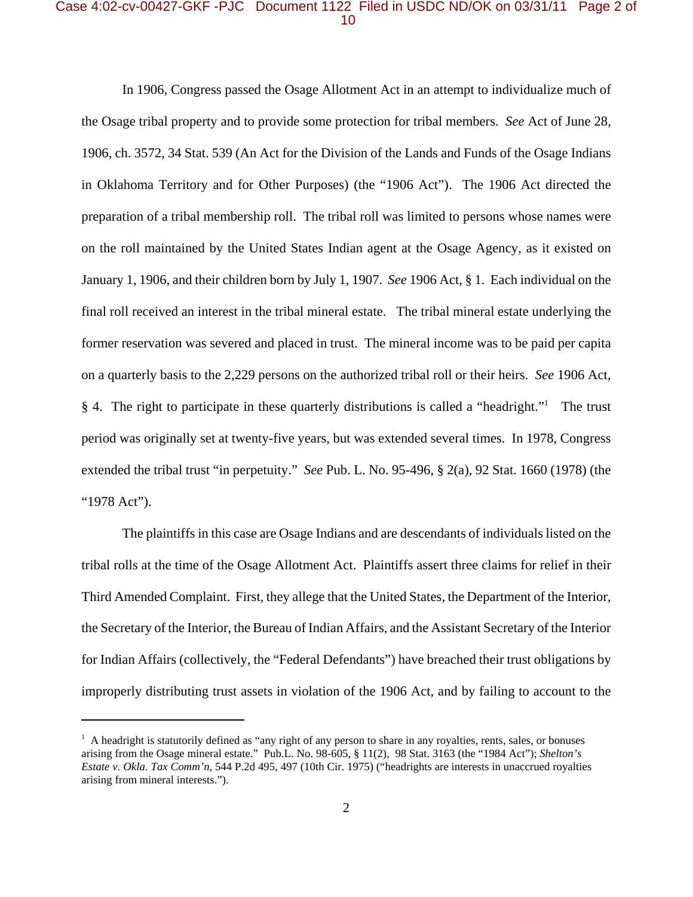# Case 4:02-cv-00427-GKF -PJC Document 1122 Filed in USDC ND/OK on 03/31/11 Page 2 of 10

In 1906, Congress passed the Osage Allotment Act in an attempt to individualize much of the Osage tribal property and to provide some protection for tribal members. *See* Act of June 28, 1906, ch. 3572, 34 Stat. 539 (An Act for the Division of the Lands and Funds of the Osage Indians in Oklahoma Territory and for Other Purposes) (the "1906 Act"). The 1906 Act directed the preparation of a tribal membership roll. The tribal roll was limited to persons whose names were on the roll maintained by the United States Indian agent at the Osage Agency, as it existed on January 1, 1906, and their children born by July 1, 1907. *See* 1906 Act, § 1. Each individual on the final roll received an interest in the tribal mineral estate. The tribal mineral estate underlying the former reservation was severed and placed in trust. The mineral income was to be paid per capita on a quarterly basis to the 2,229 persons on the authorized tribal roll or their heirs. *See* 1906 Act, § 4. The right to participate in these quarterly distributions is called a "headright."<sup>1</sup> The trust period was originally set at twenty-five years, but was extended several times. In 1978, Congress extended the tribal trust "in perpetuity." *See* Pub. L. No. 95-496, § 2(a), 92 Stat. 1660 (1978) (the "1978 Act").

The plaintiffs in this case are Osage Indians and are descendants of individuals listed on the tribal rolls at the time of the Osage Allotment Act. Plaintiffs assert three claims for relief in their Third Amended Complaint. First, they allege that the United States, the Department of the Interior, the Secretary of the Interior, the Bureau of Indian Affairs, and the Assistant Secretary of the Interior for Indian Affairs (collectively, the "Federal Defendants") have breached their trust obligations by improperly distributing trust assets in violation of the 1906 Act, and by failing to account to the

<sup>&</sup>lt;sup>1</sup> A headright is statutorily defined as "any right of any person to share in any royalties, rents, sales, or bonuses arising from the Osage mineral estate." Pub.L. No. 98-605, § 11(2), 98 Stat. 3163 (the "1984 Act"); *Shelton's Estate v. Okla. Tax Comm'n*, 544 P.2d 495, 497 (10th Cir. 1975) ("headrights are interests in unaccrued royalties arising from mineral interests.").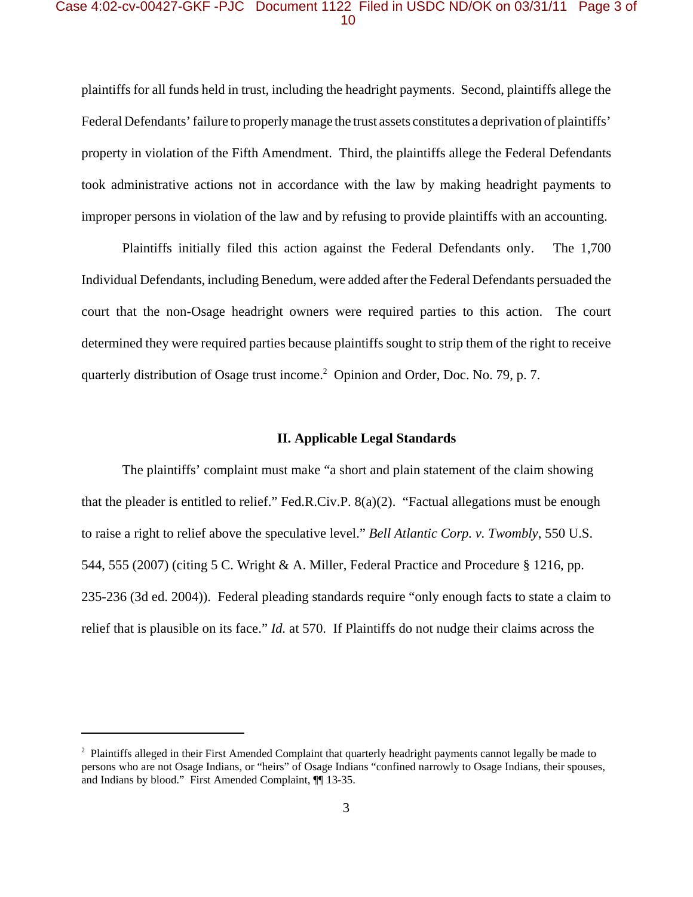### Case 4:02-cv-00427-GKF -PJC Document 1122 Filed in USDC ND/OK on 03/31/11 Page 3 of 10

plaintiffs for all funds held in trust, including the headright payments. Second, plaintiffs allege the Federal Defendants' failure to properly manage the trust assets constitutes a deprivation of plaintiffs' property in violation of the Fifth Amendment. Third, the plaintiffs allege the Federal Defendants took administrative actions not in accordance with the law by making headright payments to improper persons in violation of the law and by refusing to provide plaintiffs with an accounting.

Plaintiffs initially filed this action against the Federal Defendants only. The 1,700 Individual Defendants, including Benedum, were added after the Federal Defendants persuaded the court that the non-Osage headright owners were required parties to this action. The court determined they were required parties because plaintiffs sought to strip them of the right to receive quarterly distribution of Osage trust income.<sup>2</sup> Opinion and Order, Doc. No. 79, p. 7.

### **II. Applicable Legal Standards**

The plaintiffs' complaint must make "a short and plain statement of the claim showing that the pleader is entitled to relief." Fed.R.Civ.P. 8(a)(2). "Factual allegations must be enough to raise a right to relief above the speculative level." *Bell Atlantic Corp. v. Twombly*, 550 U.S. 544, 555 (2007) (citing 5 C. Wright & A. Miller, Federal Practice and Procedure § 1216, pp. 235-236 (3d ed. 2004)). Federal pleading standards require "only enough facts to state a claim to relief that is plausible on its face." *Id.* at 570. If Plaintiffs do not nudge their claims across the

 $2$  Plaintiffs alleged in their First Amended Complaint that quarterly headright payments cannot legally be made to persons who are not Osage Indians, or "heirs" of Osage Indians "confined narrowly to Osage Indians, their spouses, and Indians by blood." First Amended Complaint, ¶[13-35.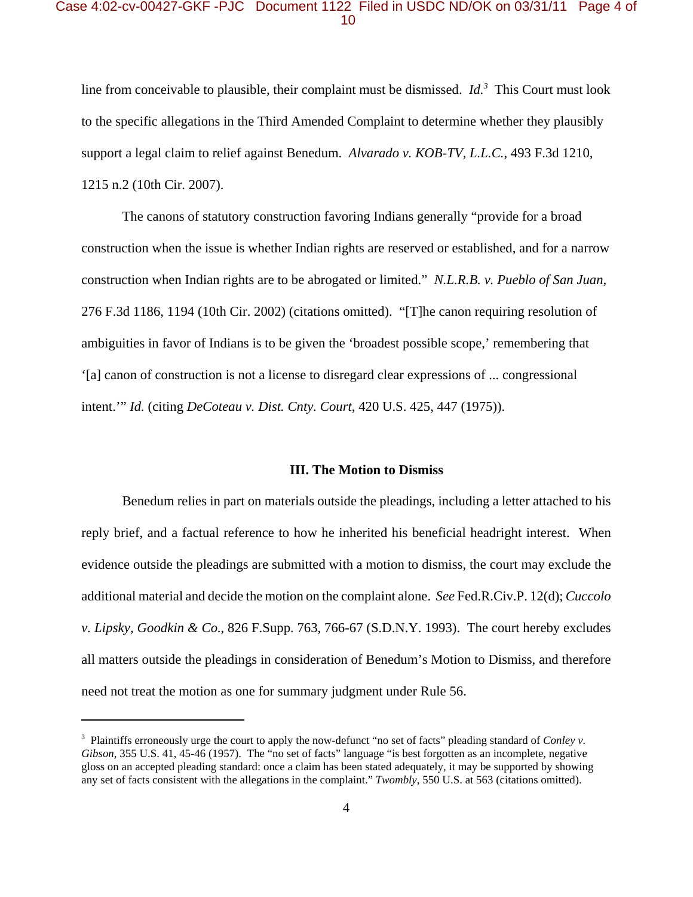#### Case 4:02-cv-00427-GKF -PJC Document 1122 Filed in USDC ND/OK on 03/31/11 Page 4 of 10

line from conceivable to plausible, their complaint must be dismissed. *Id.*<sup>3</sup> This Court must look to the specific allegations in the Third Amended Complaint to determine whether they plausibly support a legal claim to relief against Benedum. *Alvarado v. KOB-TV, L.L.C.*, 493 F.3d 1210, 1215 n.2 (10th Cir. 2007).

The canons of statutory construction favoring Indians generally "provide for a broad construction when the issue is whether Indian rights are reserved or established, and for a narrow construction when Indian rights are to be abrogated or limited." *N.L.R.B. v. Pueblo of San Juan*, 276 F.3d 1186, 1194 (10th Cir. 2002) (citations omitted). "[T]he canon requiring resolution of ambiguities in favor of Indians is to be given the 'broadest possible scope,' remembering that '[a] canon of construction is not a license to disregard clear expressions of ... congressional intent.'" *Id.* (citing *DeCoteau v. Dist. Cnty. Court*, 420 U.S. 425, 447 (1975)).

#### **III. The Motion to Dismiss**

Benedum relies in part on materials outside the pleadings, including a letter attached to his reply brief, and a factual reference to how he inherited his beneficial headright interest. When evidence outside the pleadings are submitted with a motion to dismiss, the court may exclude the additional material and decide the motion on the complaint alone. *See* Fed.R.Civ.P. 12(d); *Cuccolo v. Lipsky, Goodkin & Co.*, 826 F.Supp. 763, 766-67 (S.D.N.Y. 1993). The court hereby excludes all matters outside the pleadings in consideration of Benedum's Motion to Dismiss, and therefore need not treat the motion as one for summary judgment under Rule 56.

<sup>3</sup> Plaintiffs erroneously urge the court to apply the now-defunct "no set of facts" pleading standard of *Conley v. Gibson*, 355 U.S. 41, 45-46 (1957). The "no set of facts" language "is best forgotten as an incomplete, negative gloss on an accepted pleading standard: once a claim has been stated adequately, it may be supported by showing any set of facts consistent with the allegations in the complaint." *Twombly*, 550 U.S. at 563 (citations omitted).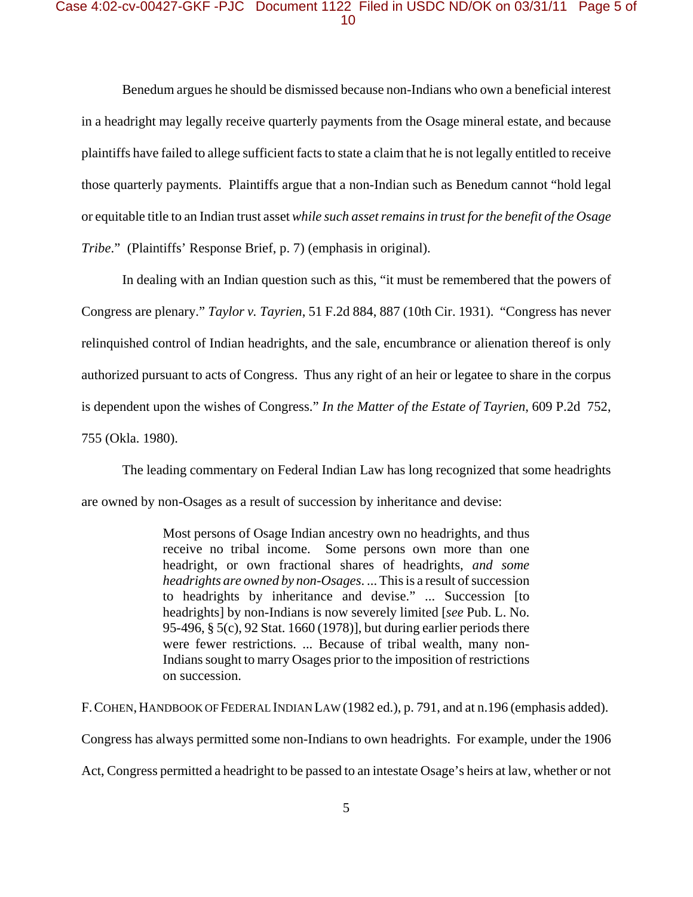### Case 4:02-cv-00427-GKF -PJC Document 1122 Filed in USDC ND/OK on 03/31/11 Page 5 of 10

Benedum argues he should be dismissed because non-Indians who own a beneficial interest in a headright may legally receive quarterly payments from the Osage mineral estate, and because plaintiffs have failed to allege sufficient facts to state a claim that he is not legally entitled to receive those quarterly payments. Plaintiffs argue that a non-Indian such as Benedum cannot "hold legal or equitable title to an Indian trust asset *while such asset remains in trust for the benefit of the Osage Tribe.*" (Plaintiffs' Response Brief, p. 7) (emphasis in original).

In dealing with an Indian question such as this, "it must be remembered that the powers of Congress are plenary." *Taylor v. Tayrien*, 51 F.2d 884, 887 (10th Cir. 1931). "Congress has never relinquished control of Indian headrights, and the sale, encumbrance or alienation thereof is only authorized pursuant to acts of Congress. Thus any right of an heir or legatee to share in the corpus is dependent upon the wishes of Congress." *In the Matter of the Estate of Tayrien*, 609 P.2d 752, 755 (Okla. 1980).

The leading commentary on Federal Indian Law has long recognized that some headrights are owned by non-Osages as a result of succession by inheritance and devise:

> Most persons of Osage Indian ancestry own no headrights, and thus receive no tribal income. Some persons own more than one headright, or own fractional shares of headrights, *and some headrights are owned by non-Osages*. ... This is a result of succession to headrights by inheritance and devise." ... Succession [to headrights] by non-Indians is now severely limited [*see* Pub. L. No. 95-496, § 5(c), 92 Stat. 1660 (1978)], but during earlier periods there were fewer restrictions. ... Because of tribal wealth, many non-Indians sought to marry Osages prior to the imposition of restrictions on succession.

F. COHEN, HANDBOOK OF FEDERAL INDIAN LAW (1982 ed.), p. 791, and at n.196 (emphasis added). Congress has always permitted some non-Indians to own headrights. For example, under the 1906 Act, Congress permitted a headright to be passed to an intestate Osage's heirs at law, whether or not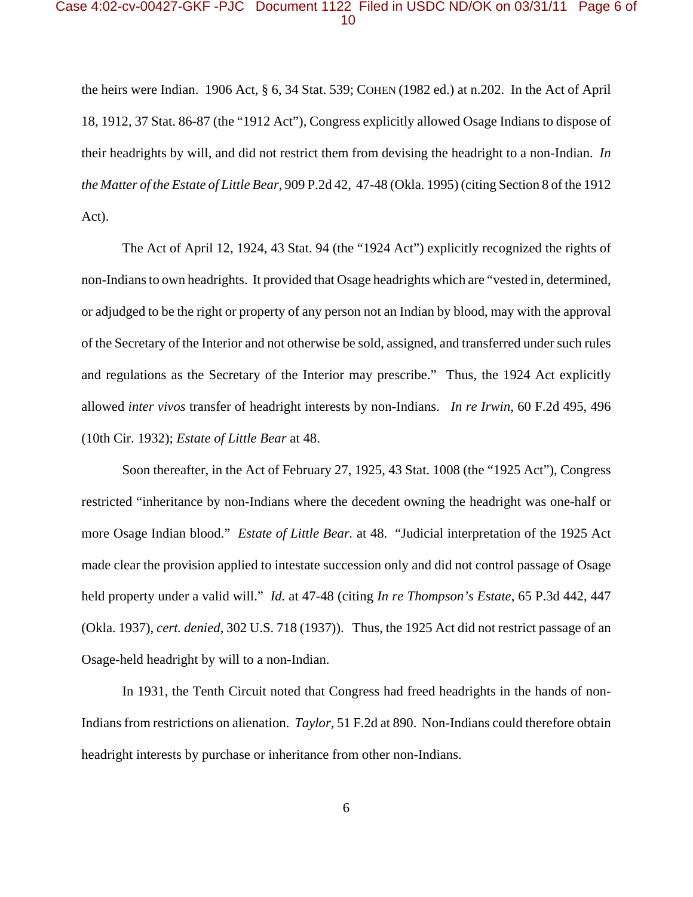### Case 4:02-cv-00427-GKF -PJC Document 1122 Filed in USDC ND/OK on 03/31/11 Page 6 of 10

the heirs were Indian. 1906 Act, § 6, 34 Stat. 539; COHEN (1982 ed.) at n.202. In the Act of April 18, 1912, 37 Stat. 86-87 (the "1912 Act"), Congress explicitly allowed Osage Indians to dispose of their headrights by will, and did not restrict them from devising the headright to a non-Indian. *In the Matter of the Estate of Little Bear*, 909 P.2d 42, 47-48 (Okla. 1995) (citing Section 8 of the 1912 Act).

The Act of April 12, 1924, 43 Stat. 94 (the "1924 Act") explicitly recognized the rights of non-Indians to own headrights. It provided that Osage headrights which are "vested in, determined, or adjudged to be the right or property of any person not an Indian by blood, may with the approval of the Secretary of the Interior and not otherwise be sold, assigned, and transferred under such rules and regulations as the Secretary of the Interior may prescribe." Thus, the 1924 Act explicitly allowed *inter vivos* transfer of headright interests by non-Indians. *In re Irwin*, 60 F.2d 495, 496 (10th Cir. 1932); *Estate of Little Bear* at 48.

Soon thereafter, in the Act of February 27, 1925, 43 Stat. 1008 (the "1925 Act"), Congress restricted "inheritance by non-Indians where the decedent owning the headright was one-half or more Osage Indian blood." *Estate of Little Bear.* at 48. "Judicial interpretation of the 1925 Act made clear the provision applied to intestate succession only and did not control passage of Osage held property under a valid will." *Id.* at 47-48 (citing *In re Thompson's Estate*, 65 P.3d 442, 447 (Okla. 1937), *cert. denied*, 302 U.S. 718 (1937)). Thus, the 1925 Act did not restrict passage of an Osage-held headright by will to a non-Indian.

In 1931, the Tenth Circuit noted that Congress had freed headrights in the hands of non-Indians from restrictions on alienation. *Taylor*, 51 F.2d at 890. Non-Indians could therefore obtain headright interests by purchase or inheritance from other non-Indians.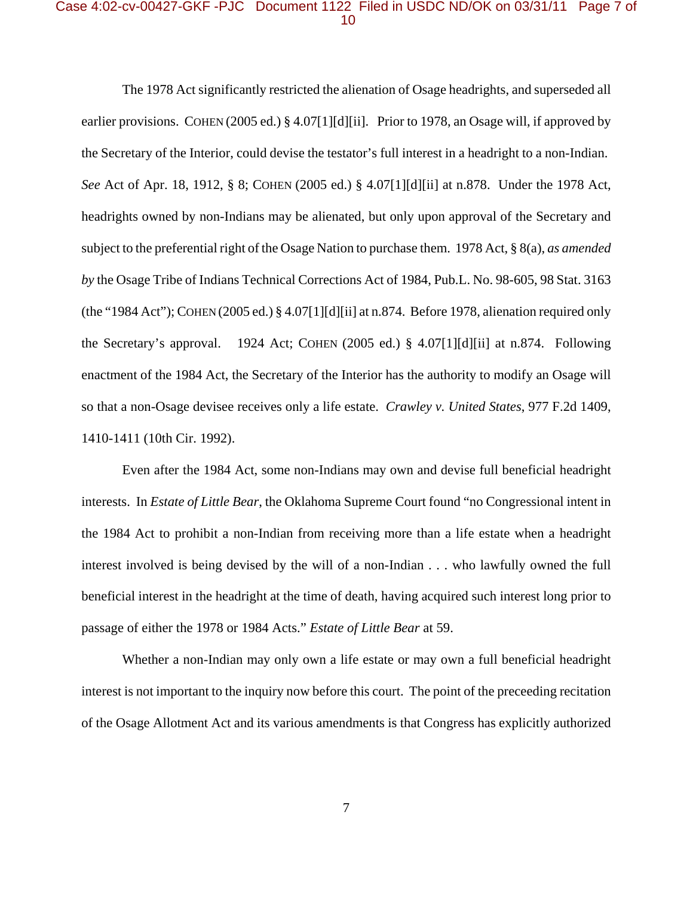# Case 4:02-cv-00427-GKF -PJC Document 1122 Filed in USDC ND/OK on 03/31/11 Page 7 of 10

The 1978 Act significantly restricted the alienation of Osage headrights, and superseded all earlier provisions. COHEN (2005 ed.) § 4.07[1][d][ii]. Prior to 1978, an Osage will, if approved by the Secretary of the Interior, could devise the testator's full interest in a headright to a non-Indian. *See* Act of Apr. 18, 1912, § 8; COHEN (2005 ed.) § 4.07[1][d][ii] at n.878. Under the 1978 Act, headrights owned by non-Indians may be alienated, but only upon approval of the Secretary and subject to the preferential right of the Osage Nation to purchase them. 1978 Act, § 8(a), *as amended by* the Osage Tribe of Indians Technical Corrections Act of 1984, Pub.L. No. 98-605, 98 Stat. 3163 (the "1984 Act"); COHEN (2005 ed.) § 4.07[1][d][ii] at n.874. Before 1978, alienation required only the Secretary's approval. 1924 Act; COHEN (2005 ed.) § 4.07[1][d][ii] at n.874. Following enactment of the 1984 Act, the Secretary of the Interior has the authority to modify an Osage will so that a non-Osage devisee receives only a life estate. *Crawley v. United States*, 977 F.2d 1409, 1410-1411 (10th Cir. 1992).

Even after the 1984 Act, some non-Indians may own and devise full beneficial headright interests. In *Estate of Little Bear*, the Oklahoma Supreme Court found "no Congressional intent in the 1984 Act to prohibit a non-Indian from receiving more than a life estate when a headright interest involved is being devised by the will of a non-Indian . . . who lawfully owned the full beneficial interest in the headright at the time of death, having acquired such interest long prior to passage of either the 1978 or 1984 Acts." *Estate of Little Bear* at 59.

Whether a non-Indian may only own a life estate or may own a full beneficial headright interest is not important to the inquiry now before this court. The point of the preceeding recitation of the Osage Allotment Act and its various amendments is that Congress has explicitly authorized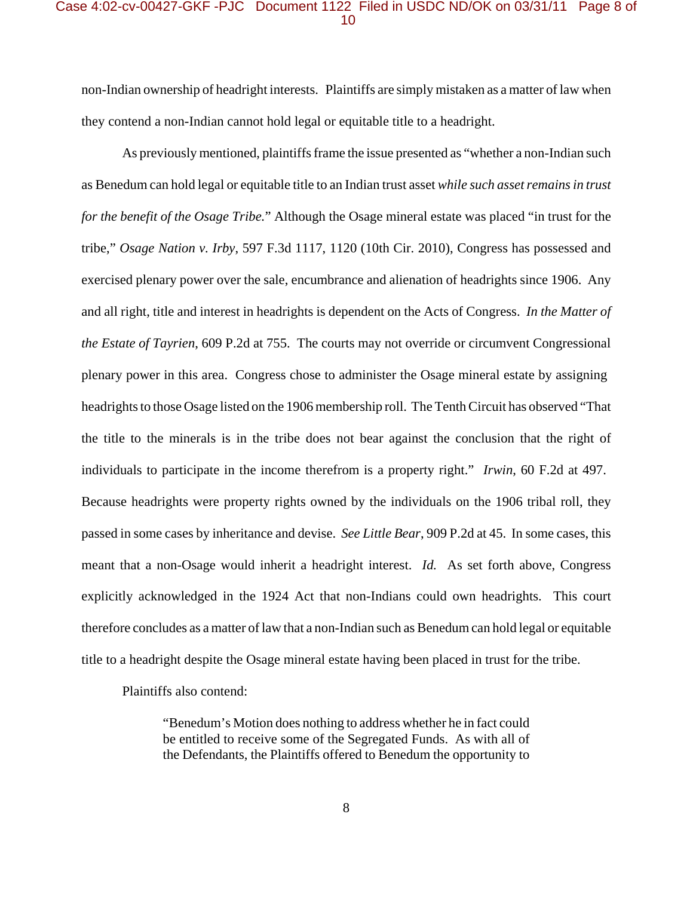# Case 4:02-cv-00427-GKF -PJC Document 1122 Filed in USDC ND/OK on 03/31/11 Page 8 of 10

non-Indian ownership of headright interests. Plaintiffs are simply mistaken as a matter of law when they contend a non-Indian cannot hold legal or equitable title to a headright.

As previously mentioned, plaintiffs frame the issue presented as "whether a non-Indian such as Benedum can hold legal or equitable title to an Indian trust asset *while such asset remains in trust for the benefit of the Osage Tribe.*" Although the Osage mineral estate was placed "in trust for the tribe," *Osage Nation v. Irby*, 597 F.3d 1117, 1120 (10th Cir. 2010), Congress has possessed and exercised plenary power over the sale, encumbrance and alienation of headrights since 1906. Any and all right, title and interest in headrights is dependent on the Acts of Congress. *In the Matter of the Estate of Tayrien*, 609 P.2d at 755. The courts may not override or circumvent Congressional plenary power in this area. Congress chose to administer the Osage mineral estate by assigning headrights to those Osage listed on the 1906 membership roll. The Tenth Circuit has observed "That the title to the minerals is in the tribe does not bear against the conclusion that the right of individuals to participate in the income therefrom is a property right." *Irwin*, 60 F.2d at 497. Because headrights were property rights owned by the individuals on the 1906 tribal roll, they passed in some cases by inheritance and devise. *See Little Bear*, 909 P.2d at 45. In some cases, this meant that a non-Osage would inherit a headright interest. *Id.* As set forth above, Congress explicitly acknowledged in the 1924 Act that non-Indians could own headrights. This court therefore concludes as a matter of law that a non-Indian such as Benedum can hold legal or equitable title to a headright despite the Osage mineral estate having been placed in trust for the tribe.

Plaintiffs also contend:

"Benedum's Motion does nothing to address whether he in fact could be entitled to receive some of the Segregated Funds. As with all of the Defendants, the Plaintiffs offered to Benedum the opportunity to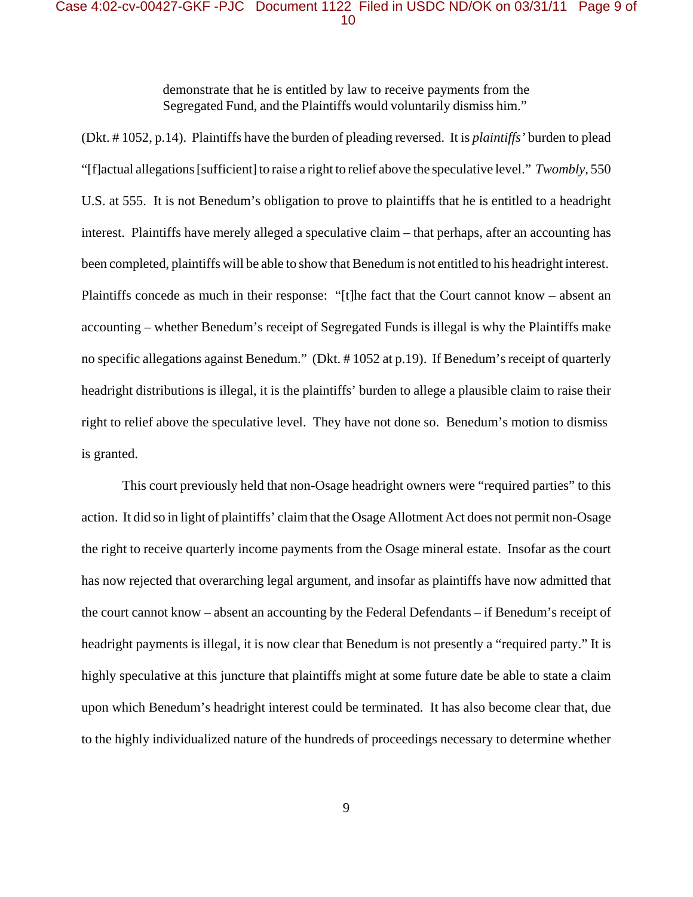# Case 4:02-cv-00427-GKF -PJC Document 1122 Filed in USDC ND/OK on 03/31/11 Page 9 of 10

demonstrate that he is entitled by law to receive payments from the Segregated Fund, and the Plaintiffs would voluntarily dismiss him."

(Dkt. # 1052, p.14). Plaintiffs have the burden of pleading reversed. It is *plaintiffs'* burden to plead "[f]actual allegations [sufficient] to raise a right to relief above the speculative level." *Twombly*, 550 U.S. at 555. It is not Benedum's obligation to prove to plaintiffs that he is entitled to a headright interest. Plaintiffs have merely alleged a speculative claim – that perhaps, after an accounting has been completed, plaintiffs will be able to show that Benedum is not entitled to his headright interest. Plaintiffs concede as much in their response: "[t]he fact that the Court cannot know – absent an accounting – whether Benedum's receipt of Segregated Funds is illegal is why the Plaintiffs make no specific allegations against Benedum." (Dkt. # 1052 at p.19). If Benedum's receipt of quarterly headright distributions is illegal, it is the plaintiffs' burden to allege a plausible claim to raise their right to relief above the speculative level. They have not done so. Benedum's motion to dismiss is granted.

This court previously held that non-Osage headright owners were "required parties" to this action. It did so in light of plaintiffs' claim that the Osage Allotment Act does not permit non-Osage the right to receive quarterly income payments from the Osage mineral estate. Insofar as the court has now rejected that overarching legal argument, and insofar as plaintiffs have now admitted that the court cannot know – absent an accounting by the Federal Defendants – if Benedum's receipt of headright payments is illegal, it is now clear that Benedum is not presently a "required party." It is highly speculative at this juncture that plaintiffs might at some future date be able to state a claim upon which Benedum's headright interest could be terminated. It has also become clear that, due to the highly individualized nature of the hundreds of proceedings necessary to determine whether